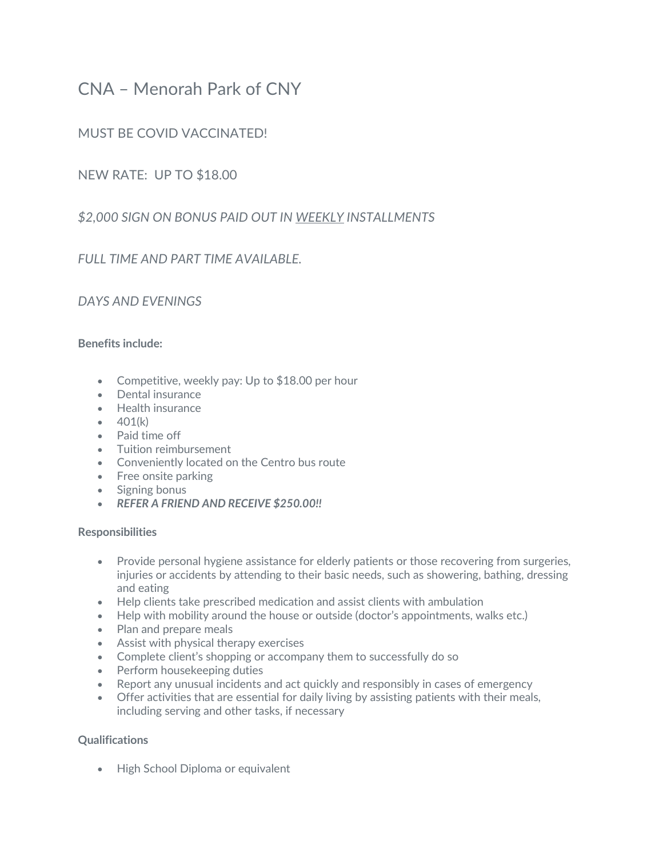# CNA – Menorah Park of CNY

# MUST BE COVID VACCINATED!

## NEW RATE: UP TO \$18.00

# *\$2,000 SIGN ON BONUS PAID OUT IN WEEKLY INSTALLMENTS*

# *FULL TIME AND PART TIME AVAILABLE.*

## *DAYS AND EVENINGS*

## **Benefits include:**

- Competitive, weekly pay: Up to \$18.00 per hour
- Dental insurance
- Health insurance
- $401(k)$
- Paid time off
- Tuition reimbursement
- Conveniently located on the Centro bus route
- Free onsite parking
- Signing bonus
- *REFER A FRIEND AND RECEIVE \$250.00!!*

## **Responsibilities**

- Provide personal hygiene assistance for elderly patients or those recovering from surgeries, injuries or accidents by attending to their basic needs, such as showering, bathing, dressing and eating
- Help clients take prescribed medication and assist clients with ambulation
- Help with mobility around the house or outside (doctor's appointments, walks etc.)
- Plan and prepare meals
- Assist with physical therapy exercises
- Complete client's shopping or accompany them to successfully do so
- Perform housekeeping duties
- Report any unusual incidents and act quickly and responsibly in cases of emergency
- Offer activities that are essential for daily living by assisting patients with their meals, including serving and other tasks, if necessary

## **Qualifications**

• High School Diploma or equivalent